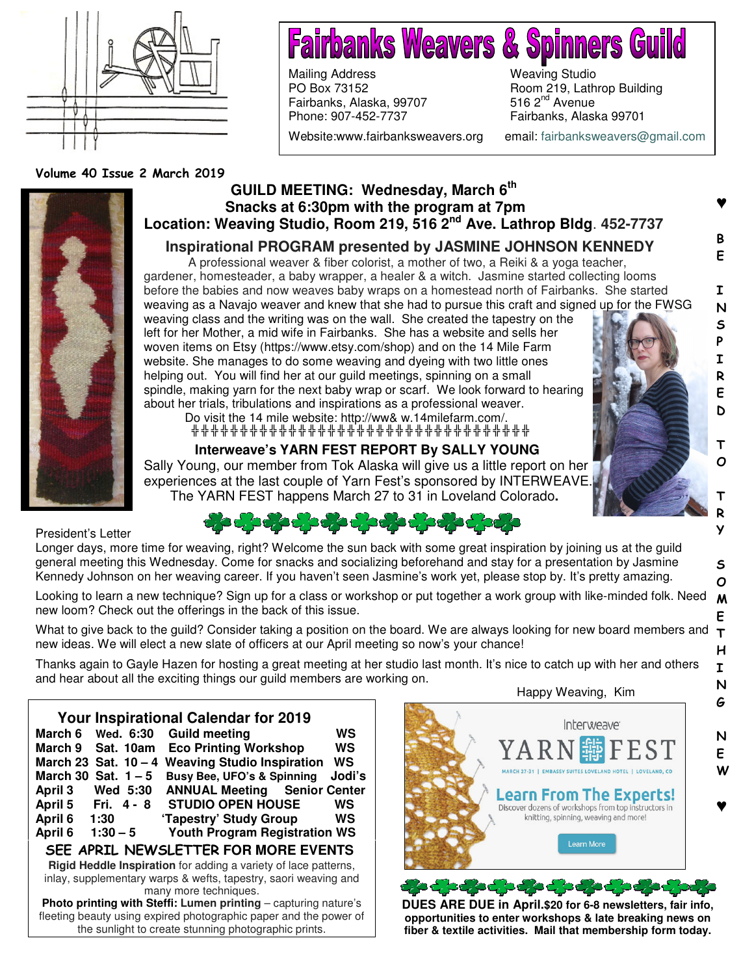

# **Fairbanks Weavers & Spinners Gui**

Mailing Address Weaving Studio PO Box 73152 Room 219, Lathrop Building Fairbanks, Alaska, 99707 Phone: 907-452-7737 Fairbanks, Alaska 99701 Website:www.fairbanksweavers.org email: fairbanksweavers@gmail.com

♥

B E

I N S P I R E D

> T O

T R Y

S O

E

I N G

N E W

♥

Volume 40 Issue 2 March 2019



## **GUILD MEETING: Wednesday, March 6th Snacks at 6:30pm with the program at 7pm Location: Weaving Studio, Room 219, 516 2nd Ave. Lathrop Bldg**. **452-7737**

## **Inspirational PROGRAM presented by JASMINE JOHNSON KENNEDY**

A professional weaver & fiber colorist, a mother of two, a Reiki & a yoga teacher, gardener, homesteader, a baby wrapper, a healer & a witch. Jasmine started collecting looms before the babies and now weaves baby wraps on a homestead north of Fairbanks. She started weaving as a Navajo weaver and knew that she had to pursue this craft and signed up for the FWSG weaving class and the writing was on the wall. She created the tapestry on the left for her Mother, a mid wife in Fairbanks. She has a website and sells her woven items on Etsy (https://www.etsy.com/shop) and on the 14 Mile Farm website. She manages to do some weaving and dyeing with two little ones helping out. You will find her at our guild meetings, spinning on a small spindle, making yarn for the next baby wrap or scarf. We look forward to hearing about her trials, tribulations and inspirations as a professional weaver. Do visit the 14 mile website: http://ww& w.14milefarm.com/.

╬ ╬ ╬ ╬ ╬ ╬ ╬ ╬ ╬ ╬ ╬ ╬ ╬ ╬ ╬ ╬ ╬ ╬ ╬ ╬ ╬ ╬ ╬ ╬ ╬ ╬ ╬ ╬ ╬ ╬ ╬ ╬ ╬ ╬ ╬

## **Interweave's YARN FEST REPORT By SALLY YOUNG**

Sally Young, our member from Tok Alaska will give us a little report on her experiences at the last couple of Yarn Fest's sponsored by INTERWEAVE. The YARN FEST happens March 27 to 31 in Loveland Colorado**.**

President's Letter

Longer days, more time for weaving, right? Welcome the sun back with some great inspiration by joining us at the guild general meeting this Wednesday. Come for snacks and socializing beforehand and stay for a presentation by Jasmine Kennedy Johnson on her weaving career. If you haven't seen Jasmine's work yet, please stop by. It's pretty amazing.

Looking to learn a new technique? Sign up for a class or workshop or put together a work group with like-minded folk. Need new loom? Check out the offerings in the back of this issue. M

What to give back to the guild? Consider taking a position on the board. We are always looking for new board members and  $\tau$ new ideas. We will elect a new slate of officers at our April meeting so now's your chance! H

Thanks again to Gayle Hazen for hosting a great meeting at her studio last month. It's nice to catch up with her and others and hear about all the exciting things our guild members are working on.

| <b>Your Inspirational Calendar for 2019</b>                          |        |
|----------------------------------------------------------------------|--------|
| <b>Guild meeting</b><br>March 6<br>Wed. 6:30                         | WS     |
| <b>Eco Printing Workshop</b><br>March 9<br>Sat. 10am                 | WS     |
| <b>Weaving Studio Inspiration</b><br>March 23 Sat. $10 - 4$          | WS     |
| <b>Busy Bee, UFO's &amp; Spinning</b><br>March 30 Sat. $1-5$         | Jodi's |
| <b>ANNUAL Meeting</b><br>April 3<br><b>Senior Center</b><br>Wed 5:30 |        |
| <b>STUDIO OPEN HOUSE</b><br>April 5<br>Fri. 4 - 8                    | WS     |
| April 6<br>'Tapestry' Study Group<br>1:30                            | WS     |
| <b>Youth Program Registration WS</b><br>April 6<br>$1:30 - 5$        |        |
| SEE APRIL NEWSLETTER FOR MORE EVENTS                                 |        |
| Rigid Heddle Inspiration for adding a variety of lace patterns,      |        |
| inlay, supplementary warps & wefts, tapestry, saori weaving and      |        |
| many more techniques.                                                |        |
| Photo printing with Steffi: Lumen printing - capturing nature's      |        |
| fleeting beauty using expired photographic paper and the power of    |        |
| the sunlight to create stunning photographic prints.                 |        |

 Happy Weaving, Kim Interweave<sup>®</sup> ı Learn From The Experts! Discover dozens of workshops from top instructors in knitting, spinning, weaving and more! Learn More

**DUES ARE DUE in April.\$20 for 6-8 newsletters, fair info, opportunities to enter workshops & late breaking news on fiber & textile activities. Mail that membership form today.**